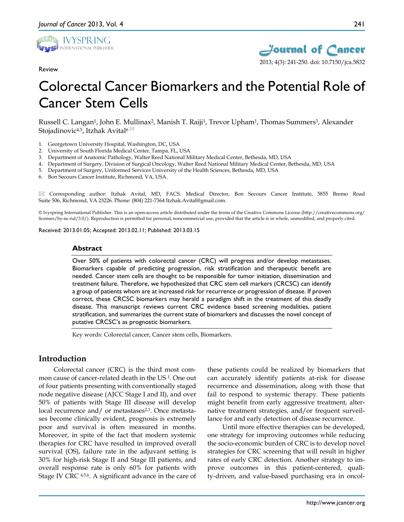

Review



# Colorectal Cancer Biomarkers and the Potential Role of Cancer Stem Cells

Russell C. Langan<sup>1</sup>, John E. Mullinax<sup>2</sup>, Manish T. Raiji<sup>1</sup>, Trevor Upham<sup>1</sup>, Thomas Summers<sup>3</sup>, Alexander Stojadinovic<sup>4,5</sup>, Itzhak Avital<sup>6</sup><sup>⊠</sup>

- 1. Georgetown University Hospital, Washington, DC, USA
- 2. University of South Florida Medical Center, Tampa, FL, USA
- 3. Department of Anatomic Pathology, Walter Reed National Military Medical Center, Bethesda, MD, USA
- 4. Department of Surgery, Division of Surgical Oncology, Walter Reed National Military Medical Center, Bethesda, MD, USA
- 5. Department of Surgery, Uniformed Services University of the Health Sciences, Bethesda, MD, USA
- 6. Bon Secours Cancer Institute, Richmond, VA, USA.

 Corresponding author: Itzhak Avital, MD, FACS. Medical Director, Bon Secours Cancer Institute, 5855 Bremo Road Suite 506, Richmond, VA 23226. Phone: (804) 221-7364 Itzhak.Avital@gmail.com.

© Ivyspring International Publisher. This is an open-access article distributed under the terms of the Creative Commons License (http://creativecommons.org/ licenses/by-nc-nd/3.0/). Reproduction is permitted for personal, noncommercial use, provided that the article is in whole, unmodified, and properly cited.

Received: 2013.01.05; Accepted: 2013.02.11; Published: 2013.03.15

#### **Abstract**

Over 50% of patients with colorectal cancer (CRC) will progress and/or develop metastases. Biomarkers capable of predicting progression, risk stratification and therapeutic benefit are needed. Cancer stem cells are thought to be responsible for tumor initiation, dissemination and treatment failure. Therefore, we hypothesized that CRC stem cell markers (CRCSC) can identify a group of patients whom are at increased risk for recurrence or progression of disease. If proven correct, these CRCSC biomarkers may herald a paradigm shift in the treatment of this deadly disease. This manuscript reviews current CRC evidence based screening modalities, patient stratification, and summarizes the current state of biomarkers and discusses the novel concept of putative CRCSC's as prognostic biomarkers.

Key words: Colorectal cancer, Cancer stem cells, Biomarkers.

# **Introduction**

Colorectal cancer (CRC) is the third most common cause of cancer-related death in the US 1. One out of four patients presenting with conventionally staged node negative disease (AJCC Stage I and II), and over 50% of patients with Stage III disease will develop local recurrence and/ or metastases<sup>2,3</sup>. Once metastases become clinically evident, prognosis is extremely poor and survival is often measured in months. Moreover, in spite of the fact that modern systemic therapies for CRC have resulted in improved overall survival (OS), failure rate in the adjuvant setting is 30% for high-risk Stage II and Stage III patients, and overall response rate is only 60% for patients with Stage IV CRC 4,5,6. A significant advance in the care of

these patients could be realized by biomarkers that can accurately identify patients at-risk for disease recurrence and dissemination, along with those that fail to respond to systemic therapy. These patients might benefit from early aggressive treatment, alternative treatment strategies, and/or frequent surveillance for and early detection of disease recurrence.

Until more effective therapies can be developed, one strategy for improving outcomes while reducing the socio-economic burden of CRC is to develop novel strategies for CRC screening that will result in higher rates of early CRC detection. Another strategy to improve outcomes in this patient-centered, quality-driven, and value-based purchasing era in oncol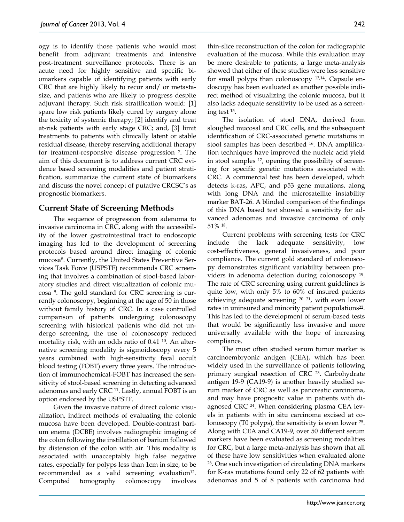ogy is to identify those patients who would most benefit from adjuvant treatments and intensive post-treatment surveillance protocols. There is an acute need for highly sensitive and specific biomarkers capable of identifying patients with early CRC that are highly likely to recur and/ or metastasize, and patients who are likely to progress despite adjuvant therapy. Such risk stratification would: [1] spare low risk patients likely cured by surgery alone the toxicity of systemic therapy; [2] identify and treat at-risk patients with early stage CRC; and, [3] limit treatments to patients with clinically latent or stable residual disease, thereby reserving additional therapy for treatment-responsive disease progression 7. The aim of this document is to address current CRC evidence based screening modalities and patient stratification, summarize the current state of biomarkers and discuss the novel concept of putative CRCSC's as prognostic biomarkers.

## **Current State of Screening Methods**

The sequence of progression from adenoma to invasive carcinoma in CRC, along with the accessibility of the lower gastrointestinal tract to endoscopic imaging has led to the development of screening protocols based around direct imaging of colonic mucosa8. Currently, the United States Preventive Services Task Force (USPSTF) recommends CRC screening that involves a combination of stool-based laboratory studies and direct visualization of colonic mucosa 9. The gold standard for CRC screening is currently colonoscopy, beginning at the age of 50 in those without family history of CRC. In a case controlled comparison of patients undergoing colonoscopy screening with historical patients who did not undergo screening, the use of colonoscopy reduced mortality risk, with an odds ratio of 0.41 10. An alternative screening modality is sigmoidoscopy every 5 years combined with high-sensitivity fecal occult blood testing (FOBT) every three years. The introduction of immunochemical-FOBT has increased the sensitivity of stool-based screening in detecting advanced adenomas and early CRC 11. Lastly, annual FOBT is an option endorsed by the USPSTF.

Given the invasive nature of direct colonic visualization, indirect methods of evaluating the colonic mucosa have been developed. Double-contrast barium enema (DCBE) involves radiographic imaging of the colon following the instillation of barium followed by distension of the colon with air. This modality is associated with unacceptably high false negative rates, especially for polyps less than 1cm in size, to be recommended as a valid screening evaluation<sup>12</sup>. Computed tomography colonoscopy involves thin-slice reconstruction of the colon for radiographic evaluation of the mucosa. While this evaluation may be more desirable to patients, a large meta-analysis showed that either of these studies were less sensitive for small polyps than colonoscopy 13,14. Capsule endoscopy has been evaluated as another possible indirect method of visualizing the colonic mucosa, but it also lacks adequate sensitivity to be used as a screening test 15.

The isolation of stool DNA, derived from sloughed mucosal and CRC cells, and the subsequent identification of CRC-associated genetic mutations in stool samples has been described 16. DNA amplification techniques have improved the nucleic acid yield in stool samples 17, opening the possibility of screening for specific genetic mutations associated with CRC. A commercial test has been developed, which detects k-ras, APC, and p53 gene mutations, along with long DNA and the microsatellite instability marker BAT-26. A blinded comparison of the findings of this DNA based test showed a sensitivity for advanced adenomas and invasive carcinoma of only 51% 18.

Current problems with screening tests for CRC include the lack adequate sensitivity, low cost-effectiveness, general invasiveness, and poor compliance. The current gold standard of colonoscopy demonstrates significant variability between providers in adenoma detection during colonoscopy 19. The rate of CRC screening using current guidelines is quite low, with only 5% to 60% of insured patients achieving adequate screening 20 21, with even lower rates in uninsured and minority patient populations<sup>22</sup>. This has led to the development of serum-based tests that would be significantly less invasive and more universally available with the hope of increasing compliance.

The most often studied serum tumor marker is carcinoembryonic antigen (CEA), which has been widely used in the surveillance of patients following primary surgical resection of CRC 23. Carbohydrate antigen 19-9 (CA19-9) is another heavily studied serum marker of CRC as well as pancreatic carcinoma, and may have prognostic value in patients with diagnosed CRC 24. When considering plasma CEA levels in patients with in situ carcinoma excised at colonoscopy (T0 polyps), the sensitivity is even lower 25. Along with CEA and CA19-9, over 50 different serum markers have been evaluated as screening modalities for CRC, but a large meta-analysis has shown that all of these have low sensitivities when evaluated alone 26. One such investigation of circulating DNA markers for K-ras mutations found only 22 of 62 patients with adenomas and 5 of 8 patients with carcinoma had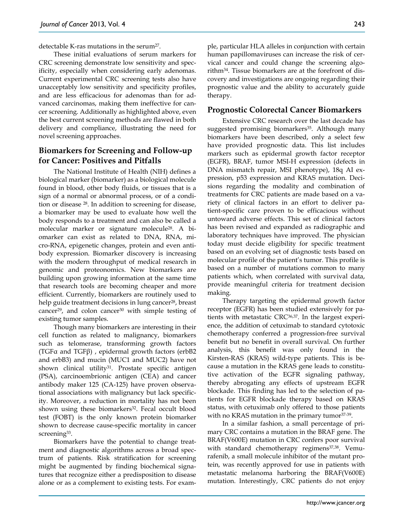These initial evaluations of serum markers for CRC screening demonstrate low sensitivity and specificity, especially when considering early adenomas. Current experimental CRC screening tests also have unacceptably low sensitivity and specificity profiles, and are less efficacious for adenomas than for advanced carcinomas, making them ineffective for cancer screening. Additionally as highlighted above, even the best current screening methods are flawed in both delivery and compliance, illustrating the need for novel screening approaches.

# **Biomarkers for Screening and Follow-up for Cancer: Positives and Pitfalls**

The National Institute of Health (NIH) defines a biological marker (biomarker) as a biological molecule found in blood, other body fluids, or tissues that is a sign of a normal or abnormal process, or of a condition or disease 28. In addition to screening for disease, a biomarker may be used to evaluate how well the body responds to a treatment and can also be called a molecular marker or signature molecule28. A biomarker can exist as related to DNA, RNA, micro-RNA, epigenetic changes, protein and even antibody expression. Biomarker discovery is increasing with the modern throughput of medical research in genomic and proteonomics. New biomarkers are building upon growing information at the same time that research tools are becoming cheaper and more efficient. Currently, biomarkers are routinely used to help guide treatment decisions in lung cancer<sup>28</sup>, breast cancer<sup>29</sup>, and colon cancer<sup>30</sup> with simple testing of existing tumor samples.

Though many biomarkers are interesting in their cell function as related to malignancy, biomarkers such as telomerase, transforming growth factors (TGF $\alpha$  and TGF $\beta$ ), epidermal growth factors (erbB2 and erbB3) and mucin (MUC1 and MUC2) have not shown clinical utility<sup>31</sup>. Prostate specific antigen (PSA), carcinoembrionic antigen (CEA) and cancer antibody maker 125 (CA-125) have proven observational associations with malignancy but lack specificity. Moreover, a reduction in mortality has not been shown using these biomarkers<sup>32</sup>. Fecal occult blood test (FOBT) is the only known protein biomarker shown to decrease cause-specific mortality in cancer screening<sup>33</sup>.

Biomarkers have the potential to change treatment and diagnostic algorithms across a broad spectrum of patients. Risk stratification for screening might be augmented by finding biochemical signatures that recognize either a predisposition to disease alone or as a complement to existing tests. For example, particular HLA alleles in conjunction with certain human papillomaviruses can increase the risk of cervical cancer and could change the screening algorithm34. Tissue biomarkers are at the forefront of discovery and investigations are ongoing regarding their prognostic value and the ability to accurately guide therapy.

### **Prognostic Colorectal Cancer Biomarkers**

Extensive CRC research over the last decade has suggested promising biomarkers<sup>35</sup>. Although many biomarkers have been described, only a select few have provided prognostic data. This list includes markers such as epidermal growth factor receptor (EGFR), BRAF, tumor MSI-H expression (defects in DNA mismatch repair, MSI phenotype), 18q AI expression, p53 expression and KRAS mutation. Decisions regarding the modality and combination of treatments for CRC patients are made based on a variety of clinical factors in an effort to deliver patient-specific care proven to be efficacious without untoward adverse effects. This set of clinical factors has been revised and expanded as radiographic and laboratory techniques have improved. The physician today must decide eligibility for specific treatment based on an evolving set of diagnostic tests based on molecular profile of the patient's tumor. This profile is based on a number of mutations common to many patients which, when correlated with survival data, provide meaningful criteria for treatment decision making.

Therapy targeting the epidermal growth factor receptor (EGFR) has been studied extensively for patients with metastatic CRC<sup>36,37</sup>. In the largest experience, the addition of cetuximab to standard cytotoxic chemotherapy conferred a progression-free survival benefit but no benefit in overall survival. On further analysis, this benefit was only found in the Kirsten-RAS (KRAS) wild-type patients. This is because a mutation in the KRAS gene leads to constitutive activation of the EGFR signaling pathway, thereby abrogating any effects of upstream EGFR blockade. This finding has led to the selection of patients for EGFR blockade therapy based on KRAS status, with cetuximab only offered to those patients with no KRAS mutation in the primary tumor<sup>37-39</sup>.

In a similar fashion, a small percentage of primary CRC contains a mutation in the BRAF gene. The BRAF(V600E) mutation in CRC confers poor survival with standard chemotherapy regimens<sup>37,38</sup>. Vemurafenib, a small molecule inhibitor of the mutant protein, was recently approved for use in patients with metastatic melanoma harboring the BRAF(V600E) mutation. Interestingly, CRC patients do not enjoy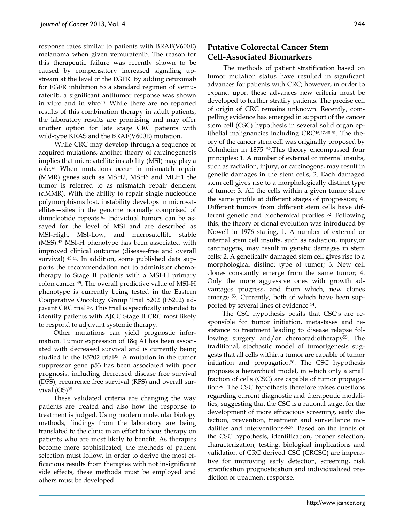response rates similar to patients with BRAF(V600E) melanoma when given vemurafenib. The reason for this therapeutic failure was recently shown to be caused by compensatory increased signaling upstream at the level of the EGFR. By adding cetuximab for EGFR inhibition to a standard regimen of vemurafenib, a significant antitumor response was shown in vitro and in vivo<sup>40</sup>. While there are no reported results of this combination therapy in adult patients, the laboratory results are promising and may offer another option for late stage CRC patients with wild-type KRAS and the BRAF(V600E) mutation.

While CRC may develop through a sequence of acquired mutations, another theory of carcinogenesis implies that microsatellite instability (MSI) may play a role.41 When mutations occur in mismatch repair (MMR) genes such as MSH2, MSH6 and MLH1 the tumor is referred to as mismatch repair deficient (dMMR). With the ability to repair single nucleotide polymorphisms lost, instability develops in microsatellites—sites in the genome normally comprised of dinucleotide repeats.41 Individual tumors can be assayed for the level of MSI and are described as MSI-High, MSI-Low, and microsatellite stable (MSS).42 MSI-H phenotype has been associated with improved clinical outcome (disease-free and overall survival)  $43,44$ . In addition, some published data supports the recommendation not to administer chemotherapy to Stage II patients with a MSI-H primary colon cancer 45. The overall predictive value of MSI-H phenotype is currently being tested in the Eastern Cooperative Oncology Group Trial 5202 (E5202) adjuvant CRC trial 35. This trial is specifically intended to identify patients with AJCC Stage II CRC most likely to respond to adjuvant systemic therapy.

Other mutations can yield prognostic information. Tumor expression of 18q AI has been associated with decreased survival and is currently being studied in the E5202 trial35. A mutation in the tumor suppressor gene p53 has been associated with poor prognosis, including decreased disease free survival (DFS), recurrence free survival (RFS) and overall survival (OS)<sup>35</sup>.

These validated criteria are changing the way patients are treated and also how the response to treatment is judged. Using modern molecular biology methods, findings from the laboratory are being translated to the clinic in an effort to focus therapy on patients who are most likely to benefit. As therapies become more sophisticated, the methods of patient selection must follow. In order to derive the most efficacious results from therapies with not insignificant side effects, these methods must be employed and others must be developed.

# **Putative Colorectal Cancer Stem Cell-Associated Biomarkers**

The methods of patient stratification based on tumor mutation status have resulted in significant advances for patients with CRC; however, in order to expand upon these advances new criteria must be developed to further stratify patients. The precise cell of origin of CRC remains unknown. Recently, compelling evidence has emerged in support of the cancer stem cell (CSC) hypothesis in several solid organ epithelial malignancies including CRC46,47,48-51. The theory of the cancer stem cell was originally proposed by Cohnheim in 1875 52.This theory encompassed four principles: 1. A number of external or internal insults, such as radiation, injury, or carcinogens, may result in genetic damages in the stem cells; 2. Each damaged stem cell gives rise to a morphologically distinct type of tumor; 3. All the cells within a given tumor share the same profile at different stages of progression; 4. Different tumors from different stem cells have different genetic and biochemical profiles 52. Following this, the theory of clonal evolution was introduced by Nowell in 1976 stating, 1. A number of external or internal stem cell insults, such as radiation, injury,or carcinogens, may result in genetic damages in stem cells; 2. A genetically damaged stem cell gives rise to a morphological distinct type of tumor; 3. New cell clones constantly emerge from the same tumor; 4. Only the more aggressive ones with growth advantages progress, and from which, new clones emerge 53. Currently, both of which have been supported by several lines of evidence 54.

The CSC hypothesis posits that CSC's are responsible for tumor initiation, metastases and resistance to treatment leading to disease relapse following surgery and/or chemoradiotherapy<sup>55</sup>. The traditional, stochastic model of tumorigenesis suggests that all cells within a tumor are capable of tumor initiation and propagation<sup>56</sup>. The CSC hypothesis proposes a hierarchical model, in which only a small fraction of cells (CSC) are capable of tumor propagation56. The CSC hypothesis therefore raises questions regarding current diagnostic and therapeutic modalities, suggesting that the CSC is a rational target for the development of more efficacious screening, early detection, prevention, treatment and surveillance modalities and interventions<sup>56,57</sup>. Based on the tenets of the CSC hypothesis, identification, proper selection, characterization, testing, biological implications and validation of CRC derived CSC (CRCSC) are imperative for improving early detection, screening, risk stratification prognostication and individualized prediction of treatment response.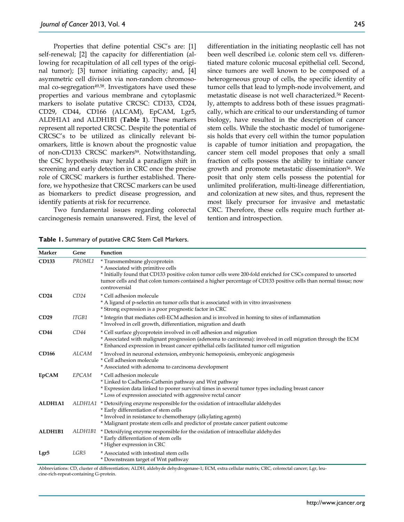Properties that define potential CSC's are: [1] self-renewal; [2] the capacity for differentiation (allowing for recapitulation of all cell types of the original tumor); [3] tumor initiating capacity; and, [4] asymmetric cell division via non-random chromosomal co-segregation<sup>49,58</sup>. Investigators have used these properties and various membrane and cytoplasmic markers to isolate putative CRCSC: CD133, CD24, CD29, CD44, CD166 (ALCAM), EpCAM, Lgr5, ALDH1A1 and ALDH1B1 (**Table 1**). These markers represent all reported CRCSC. Despite the potential of CRCSC's to be utilized as clinically relevant biomarkers, little is known about the prognostic value of non-CD133 CRCSC markers<sup>59</sup>. Notwithstanding, the CSC hypothesis may herald a paradigm shift in screening and early detection in CRC once the precise role of CRCSC markers is further established. Therefore, we hypothesize that CRCSC markers can be used as biomarkers to predict disease progression, and identify patients at risk for recurrence.

Two fundamental issues regarding colorectal carcinogenesis remain unanswered. First, the level of differentiation in the initiating neoplastic cell has not been well described i.e. colonic stem cell vs. differentiated mature colonic mucosal epithelial cell. Second, since tumors are well known to be composed of a heterogeneous group of cells, the specific identity of tumor cells that lead to lymph-node involvement, and metastatic disease is not well characterized.56 Recently, attempts to address both of these issues pragmatically, which are critical to our understanding of tumor biology, have resulted in the description of cancer stem cells. While the stochastic model of tumorigenesis holds that every cell within the tumor population is capable of tumor initiation and propagation, the cancer stem cell model proposes that only a small fraction of cells possess the ability to initiate cancer growth and promote metastatic dissemination<sup>56</sup>. We posit that only stem cells possess the potential for unlimited proliferation, multi-lineage differentiation, and colonization at new sites, and thus, represent the most likely precursor for invasive and metastatic CRC. Therefore, these cells require much further attention and introspection.

| Marker       | Gene         | Function                                                                                                                                                                                                                                                                                                              |
|--------------|--------------|-----------------------------------------------------------------------------------------------------------------------------------------------------------------------------------------------------------------------------------------------------------------------------------------------------------------------|
| CD133        | PROML1       | * Transmembrane glycoprotein<br>* Associated with primitive cells<br>* Initially found that CD133 positive colon tumor cells were 200-fold enriched for CSCs compared to unsorted<br>tumor cells and that colon tumors contained a higher percentage of CD133 positive cells than normal tissue; now<br>controversial |
| CD24         | CD24         | * Cell adhesion molecule<br>* A ligand of p-selectin on tumor cells that is associated with in vitro invasiveness<br>* Strong expression is a poor prognostic factor in CRC                                                                                                                                           |
| CD29         | ITGB1        | * Integrin that mediates cell-ECM adhesion and is involved in homing to sites of inflammation<br>* Involved in cell growth, differentiation, migration and death                                                                                                                                                      |
| <b>CD44</b>  | CD44         | * Cell surface glycoprotein involved in cell adhesion and migration<br>* Associated with malignant progression (adenoma to carcinoma): involved in cell migration through the ECM<br>* Enhanced expression in breast cancer epithelial cells facilitated tumor cell migration                                         |
| CD166        | ALCAM        | * Involved in neuronal extension, embryonic hemopoiesis, embryonic angiogenesis<br>* Cell adhesion molecule<br>* Associated with adenoma to carcinoma development                                                                                                                                                     |
| <b>EpCAM</b> | <b>EPCAM</b> | * Cell adhesion molecule<br>* Linked to Cadherin-Cathenin pathway and Wnt pathway<br>* Expression data linked to poorer survival times in several tumor types including breast cancer<br>* Loss of expression associated with aggressive rectal cancer                                                                |
| ALDH1A1      | ALDH1A1      | * Detoxifying enzyme responsible for the oxidation of intracellular aldehydes<br>* Early differentiation of stem cells<br>* Involved in resistance to chemotherapy (alkylating agents)<br>* Malignant prostate stem cells and predictor of prostate cancer patient outcome                                            |
| ALDH1B1      | ALDH1B1      | * Detoxifying enzyme responsible for the oxidation of intracellular aldehydes<br>* Early differentiation of stem cells<br>* Higher expression in CRC                                                                                                                                                                  |
| Lgr5         | LGR5         | * Associated with intestinal stem cells<br>* Downstream target of Wnt pathway                                                                                                                                                                                                                                         |

**Table 1.** Summary of putative CRC Stem Cell Markers.

Abbreviations: CD, cluster of differentiation; ALDH, aldehyde dehydrogenase-1; ECM, extra cellular matrix; CRC, colorectal cancer; Lgr, leucine-rich-repeat-containing G-protein.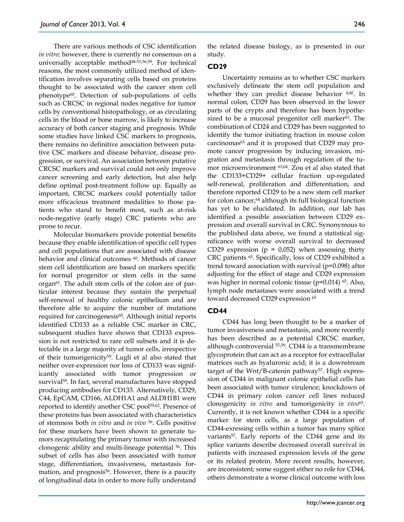There are various methods of CSC identification *in vitro;* however, there is currently no consensus on a universally acceptable method<sup>48-51,56,59</sup>. For technical reasons, the most commonly utilized method of identification involves separating cells based on proteins thought to be associated with the cancer stem cell phenotype60. Detection of sub-populations of cells such as CRCSC in regional nodes negative for tumor cells by conventional histopathology, or as circulating cells in the blood or bone marrow, is likely to increase accuracy of both cancer staging and prognosis. While some studies have linked CSC markers to prognosis, there remains no definitive association between putative CSC markers and disease behavior, disease progression, or survival. An association between putative CRCSC markers and survival could not only improve cancer screening and early detection, but also help define optimal post-treatment follow up. Equally as important, CRCSC markers could potentially tailor more efficacious treatment modalities to those patients who stand to benefit most, such as at-risk node-negative (early stage) CRC patients who are prone to recur.

Molecular biomarkers provide potential benefits because they enable identification of specific cell types and cell populations that are associated with disease behavior and clinical outcomes <sup>60</sup>. Methods of cancer stem cell identification are based on markers specific for normal progenitor or stem cells in the same organ<sup>61</sup>. The adult stem cells of the colon are of particular interest because they sustain the perpetual self-renewal of healthy colonic epithelium and are therefore able to acquire the number of mutations required for carcinogenesis<sup>60</sup>. Although initial reports identified CD133 as a reliable CSC marker in CRC, subsequent studies have shown that CD133 expression is not restricted to rare cell subsets and it is detectable in a large majority of tumor cells, irrespective of their tumorigenicity59. Lugli et al also stated that neither over-expression nor loss of CD133 was significantly associated with tumor progression or survival<sup>59</sup>. In fact, several manufactures have stopped producing antibodies for CD133. Alternatively, CD29, C44, EpCAM, CD166, ALDH1A1 and ALDH1B1 were reported to identify another CSC pool59,62. Presence of these proteins has been associated with characteristics of stemness both *in vitro* and *in vivo* 56. Cells positive for these markers have been shown to generate tumors recapitulating the primary tumor with increased clonogenic ability and multi-lineage potential 56. This subset of cells has also been associated with tumor stage, differentiation, invasiveness, metastasis formation, and prognosis<sup>56</sup>. However, there is a paucity of longitudinal data in order to more fully understand

the related disease biology, as is presented in our study.

### **CD29**

Uncertainty remains as to whether CSC markers exclusively delineate the stem cell population and whether they can predict disease behavior  $4,60$ . In normal colon, CD29 has been observed in the lower parts of the crypts and therefore has been hypothesized to be a mucosal progenitor cell marker<sup>63</sup>. The combination of CD24 and CD29 has been suggested to identify the tumor initiating fraction in mouse colon carcinomas63 and it is proposed that CD29 may promote cancer progression by inducing invasion, migration and metastasis through regulation of the tumor microenvironment 63,64. Zou et al also stated that the CD133+CD29+ cellular fraction up-regulated self-renewal, proliferation and differentiation, and therefore reported CD29 to be a new stem cell marker for colon cancer,<sup>64</sup> although its full biological function has yet to be elucidated. In addition, our lab has identified a possible association between CD29 expression and overall survival in CRC. Synonymous to the published data above, we found a statistical significance with worse overall survival to decreased CD29 expression ( $p = 0.052$ ) when assessing thirty CRC patients 65. Specifically, loss of CD29 exhibited a trend toward association with survival (p=0.098) after adjusting for the effect of stage and CD29 expression was higher in normal colonic tissue (p=0.014) 65. Also, lymph node metastases were associated with a trend toward decreased CD29 expression 65

#### **CD44**

CD44 has long been thought to be a marker of tumor invasiveness and metastasis, and more recently has been described as a potential CRCSC marker, although controversial 57,59. CD44 is a transmembrane glycoprotein that can act as a receptor for extracellular matrices such as hyaluronic acid; it is a downstream target of the Wnt/B-catenin pathway<sup>57</sup>. High expression of CD44 in malignant colonic epithelial cells has been associated with tumor virulence; knockdown of CD44 in primary colon cancer cell lines reduced clonogenicity *in vitro* and tumorigenicity *in vivo*63. Currently, it is not known whether CD44 is a specific marker for stem cells, as a large population of CD44-exressing cells within a tumor has many splice variants<sup>57</sup>. Early reports of the CD44 gene and its splice variants describe decreased overall survival in patients with increased expression levels of the gene or its related protein. More recent results, however, are inconsistent; some suggest either no role for CD44, others demonstrate a worse clinical outcome with loss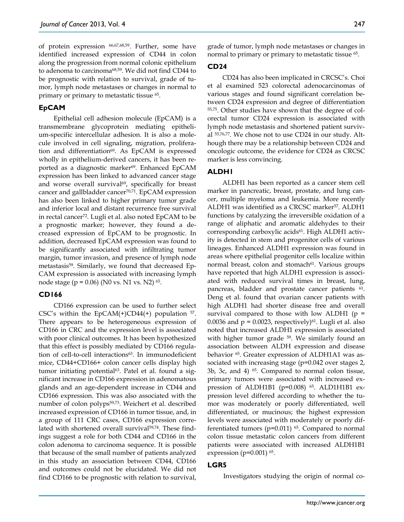of protein expression 66,67,68,59. Further, some have identified increased expression of CD44 in colon along the progression from normal colonic epithelium to adenoma to carcinoma68,59. We did not find CD44 to be prognostic with relation to survival, grade of tumor, lymph node metastases or changes in normal to primary or primary to metastatic tissue 65.

#### **EpCAM**

Epithelial cell adhesion molecule (EpCAM) is a transmembrane glycoprotein mediating epithelium-specific intercellular adhesion. It is also a molecule involved in cell signaling, migration, proliferation and differentiation<sup>69</sup>. As EpCAM is expressed wholly in epithelium-derived cancers, it has been reported as a diagnostic marker<sup>69</sup>. Enhanced EpCAM expression has been linked to advanced cancer stage and worse overall survival<sup>69</sup>, specifically for breast cancer and gallbladder cancer<sup>70,71</sup>. EpCAM expression has also been linked to higher primary tumor grade and inferior local and distant recurrence free survival in rectal cancer72. Lugli et al. also noted EpCAM to be a prognostic marker; however, they found a decreased expression of EpCAM to be prognostic. In addition, decreased EpCAM expression was found to be significantly associated with infiltrating tumor margin, tumor invasion, and presence of lymph node metastasis<sup>59</sup>. Similarly, we found that decreased Ep-CAM expression is associated with increasing lymph node stage ( $p = 0.06$ ) (N0 vs. N1 vs. N2)  $^{65}$ .

#### **CD166**

CD166 expression can be used to further select CSC's within the EpCAM(+)CD44(+) population  $57$ . There appears to be heterogeneous expression of CD166 in CRC and the expression level is associated with poor clinical outcomes. It has been hypothesized that this effect is possibly mediated by CD166 regulation of cell-to-cell interactions<sup>63</sup>. In immunodeficient mice, CD44+CD166+ colon cancer cells display high tumor initiating potential<sup>63</sup>. Patel et al. found a significant increase in CD166 expression in adenomatous glands and an age-dependent increase in CD44 and CD166 expression. This was also associated with the number of colon polyps<sup>59,73</sup>. Weichert et al. described increased expression of CD166 in tumor tissue, and, in a group of 111 CRC cases, CD166 expression correlated with shortened overall survival<sup>59,74</sup>. These findings suggest a role for both CD44 and CD166 in the colon adenoma to carcinoma sequence. It is possible that because of the small number of patients analyzed in this study an association between CD44, CD166 and outcomes could not be elucidated. We did not find CD166 to be prognostic with relation to survival,

grade of tumor, lymph node metastases or changes in normal to primary or primary to metastatic tissue 65.

### **CD24**

CD24 has also been implicated in CRCSC's. Choi et al examined 523 colorectal adenocarcinomas of various stages and found significant correlation between CD24 expression and degree of differentiation 55,75. Other studies have shown that the degree of colorectal tumor CD24 expression is associated with lymph node metastasis and shortened patient survival 55,76,77. We chose not to use CD24 in our study. Although there may be a relationship between CD24 and oncologic outcome, the evidence for CD24 as CRCSC marker is less convincing.

## **ALDH1**

ALDH1 has been reported as a cancer stem cell marker in pancreatic, breast, prostate, and lung cancer, multiple myeloma and leukemia. More recently ALDH1 was identified as a CRCSC marker<sup>57</sup>. ALDH1 functions by catalyzing the irreversible oxidation of a range of aliphatic and aromatic aldehydes to their corresponding carboxylic acids<sup>61</sup>. High ALDH1 activity is detected in stem and progenitor cells of various lineages. Enhanced ALDH1 expression was found in areas where epithelial progenitor cells localize within normal breast, colon and stomach<sup>61</sup>. Various groups have reported that high ALDH1 expression is associated with reduced survival times in breast, lung, pancreas, bladder and prostate cancer patients <sup>61</sup>. Deng et al. found that ovarian cancer patients with high ALDH1 had shorter disease free and overall survival compared to those with low ALDH1 ( $p =$ 0.0036 and  $p = 0.0023$ , respectively)<sup>61</sup>. Lugli et al. also noted that increased ALDH1 expression is associated with higher tumor grade <sup>59</sup>. We similarly found an association between ALDH expression and disease behavior 65. Greater expression of ALDH1A1 was associated with increasing stage (p=0.042 over stages 2, 3b, 3c, and 4)  $65$ . Compared to normal colon tissue, primary tumors were associated with increased expression of ALDH1B1 ( $p=0.008$ ) <sup>65</sup>. ALD1H1B1 expression level differed according to whether the tumor was moderately or poorly differentiated, well differentiated, or mucinous; the highest expression levels were associated with moderately or poorly differentiated tumors ( $p=0.011$ ) <sup>65</sup>. Compared to normal colon tissue metastatic colon cancers from different patients were associated with increased ALDH1B1 expression ( $p=0.001$ )  $^{65}$ .

#### **LGR5**

Investigators studying the origin of normal co-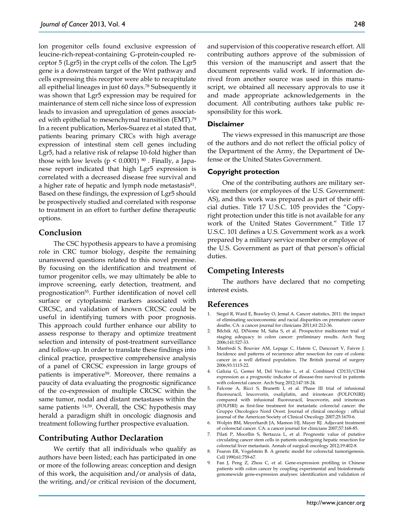lon progenitor cells found exclusive expression of leucine-rich-repeat-containing G-protein-coupled receptor 5 (Lgr5) in the crypt cells of the colon. The Lgr5 gene is a downstream target of the Wnt pathway and cells expressing this receptor were able to recapitulate all epithelial lineages in just 60 days.78 Subsequently it was shown that Lgr5 expression may be required for maintenance of stem cell niche since loss of expression leads to invasion and upregulation of genes associated with epithelial to mesenchymal transition (EMT).79 In a recent publication, Merlos-Suarez et al stated that, patients bearing primary CRCs with high average expression of intestinal stem cell genes including Lgr5, had a relative risk of relapse 10-fold higher than those with low levels ( $p \le 0.0001$ )  $80$ . Finally, a Japanese report indicated that high Lgr5 expression is correlated with a decreased disease free survival and a higher rate of hepatic and lymph node metastasis<sup>81</sup>. Based on these findings, the expression of Lgr5 should be prospectively studied and correlated with response to treatment in an effort to further define therapeutic options.

### **Conclusion**

The CSC hypothesis appears to have a promising role in CRC tumor biology, despite the remaining unanswered questions related to this novel premise. By focusing on the identification and treatment of tumor progenitor cells, we may ultimately be able to improve screening, early detection, treatment, and prognostication55. Further identification of novel cell surface or cytoplasmic markers associated with CRCSC, and validation of known CRCSC could be useful in identifying tumors with poor prognosis. This approach could further enhance our ability to assess response to therapy and optimize treatment selection and intensity of post-treatment surveillance and follow-up. In order to translate these findings into clinical practice, prospective comprehensive analysis of a panel of CRCSC expression in large groups of patients is imperative<sup>59</sup>. Moreover, there remains a paucity of data evaluating the prognostic significance of the co-expression of multiple CRCSC within the same tumor, nodal and distant metastases within the same patients 14,59. Overall, the CSC hypothesis may herald a paradigm shift in oncologic diagnosis and treatment following further prospective evaluation.

## **Contributing Author Declaration**

We certify that all individuals who qualify as authors have been listed; each has participated in one or more of the following areas: conception and design of this work, the acquisition and/or analysis of data, the writing, and/or critical revision of the document,

and supervision of this cooperative research effort. All contributing authors approve of the submission of this version of the manuscript and assert that the document represents valid work. If information derived from another source was used in this manuscript, we obtained all necessary approvals to use it and made appropriate acknowledgements in the document. All contributing authors take public responsibility for this work.

#### **Disclaimer**

The views expressed in this manuscript are those of the authors and do not reflect the official policy of the Department of the Army, the Department of Defense or the United States Government.

#### **Copyright protection**

One of the contributing authors are military service members (or employees of the U.S. Government: AS), and this work was prepared as part of their official duties. Title 17 U.S.C. 105 provides the "Copyright protection under this title is not available for any work of the United States Government." Title 17 U.S.C. 101 defines a U.S. Government work as a work prepared by a military service member or employee of the U.S. Government as part of that person's official duties.

#### **Competing Interests**

The authors have declared that no competing interest exists.

#### **References**

- 1. Siegel R, Ward E, Brawley O, Jemal A. Cancer statistics, 2011: the impact of eliminating socioeconomic and racial disparities on premature cancer deaths. CA: a cancer journal for clinicians 2011;61:212-36.
- 2. Bilchik AJ, DiNome M, Saha S, et al. Prospective multicenter trial of staging adequacy in colon cancer: preliminary results. Arch Surg 2006;141:527-33.
- 3. Manfredi S, Bouvier AM, Lepage C, Hatem C, Dancourt V, Faivre J. Incidence and patterns of recurrence after resection for cure of colonic cancer in a well defined population. The British journal of surgery 2006;93:1115-22.
- 4. Galizia G, Gemei M, Del Vecchio L, et al. Combined CD133/CD44 expression as a prognostic indicator of disease-free survival in patients with colorectal cancer. Arch Surg 2012;147:18-24.
- 5. Falcone A, Ricci S, Brunetti I, et al. Phase III trial of infusional fluorouracil, leucovorin, oxaliplatin, and irinotecan (FOLFOXIRI) compared with infusional fluorouracil, leucovorin, and irinotecan (FOLFIRI) as first-line treatment for metastatic colorectal cancer: the Gruppo Oncologico Nord Ovest. Journal of clinical oncology : official journal of the American Society of Clinical Oncology 2007;25:1670-6.
- 6. Wolpin BM, Meyerhardt JA, Mamon HJ, Mayer RJ. Adjuvant treatment of colorectal cancer. CA: a cancer journal for clinicians 2007;57:168-85.
- Pilati P, Mocellin S, Bertazza L, et al. Prognostic value of putative circulating cancer stem cells in patients undergoing hepatic resection for colorectal liver metastasis. Annals of surgical oncology 2012;19:402-8.
- 8. Fearon ER, Vogelstein B. A genetic model for colorectal tumorigenesis. Cell 1990;61:759-67.
- 9. Fan J, Peng Z, Zhou C, et al. Gene-expression profiling in Chinese patients with colon cancer by coupling experimental and bioinformatic genomewide gene-expression analyses: identification and validation of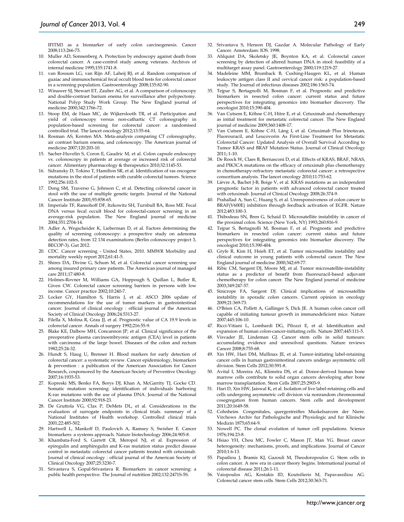IFITM3 as a biomarker of early colon carcinogenesis. Cancer 2008;113:266-75.

- 10. Muller AD, Sonnenberg A. Protection by endoscopy against death from colorectal cancer. A case-control study among veterans. Archives of internal medicine 1995;155:1741-8.
- 11. van Rossum LG, van Rijn AF, Laheij RJ, et al. Random comparison of guaiac and immunochemical fecal occult blood tests for colorectal cancer in a screening population. Gastroenterology 2008;135:82-90.
- 12. Winawer SJ, Stewart ET, Zauber AG, et al. A comparison of colonoscopy and double-contrast barium enema for surveillance after polypectomy. National Polyp Study Work Group. The New England journal of medicine 2000;342:1766-72.
- 13. Stoop EM, de Haan MC, de Wijkerslooth TR, et al. Participation and yield of colonoscopy versus non-cathartic CT colonography in population-based screening for colorectal cancer: a randomised controlled trial. The lancet oncology 2012;13:55-64.
- 14. Rosman AS, Korsten MA. Meta-analysis comparing CT colonography, air contrast barium enema, and colonoscopy. The American journal of medicine 2007;120:203-10.
- 15. Sacher-Huvelin S, Coron E, Gaudric M, et al. Colon capsule endoscopy vs. colonoscopy in patients at average or increased risk of colorectal cancer. Alimentary pharmacology & therapeutics 2010;32:1145-53.
- 16. Sidransky D, Tokino T, Hamilton SR, et al. Identification of ras oncogene mutations in the stool of patients with curable colorectal tumors. Science 1992;256:102-5.
- 17. Dong SM, Traverso G, Johnson C, et al. Detecting colorectal cancer in stool with the use of multiple genetic targets. Journal of the National Cancer Institute 2001;93:858-65.
- 18. Imperiale TF, Ransohoff DF, Itzkowitz SH, Turnbull BA, Ross ME. Fecal DNA versus fecal occult blood for colorectal-cancer screening in an average-risk population. The New England journal of medicine 2004;351:2704-14.
- 19. Adler A, Wegscheider K, Lieberman D, et al. Factors determining the quality of screening colonoscopy: a prospective study on adenoma detection rates, from 12 134 examinations (Berlin colonoscopy project 3, BECOP-3). Gut 2012.
- 20. CDC. Cancer screening United States, 2010. MMWR Morbidity and mortality weekly report 2012;61:41-5.
- 21. Shires DA, Divine G, Schum M, et al. Colorectal cancer screening use among insured primary care patients. The American journal of managed care 2011;17:480-8.
- 22. Holmes-Rovner M, Williams GA, Hoppough S, Quillan L, Butler R, Given CW. Colorectal cancer screening barriers in persons with low income. Cancer practice 2002;10:240-7.
- 23. Locker GY, Hamilton S, Harris J, et al. ASCO 2006 update of recommendations for the use of tumor markers in gastrointestinal cancer. Journal of clinical oncology : official journal of the American Society of Clinical Oncology 2006;24:5313-27.
- 24. Filella X, Molina R, Grau JJ, et al. Prognostic value of CA 19.9 levels in colorectal cancer. Annals of surgery 1992;216:55-9.
- 25. Blake KE, Dalbow MH, Concannon JP, et al. Clinical significance of the preoperative plasma carcinoembryonic antigen (CEA) level in patients with carcinoma of the large bowel. Diseases of the colon and rectum 1982;25:24-32.
- 26. Hundt S, Haug U, Brenner H. Blood markers for early detection of colorectal cancer: a systematic review. Cancer epidemiology, biomarkers & prevention : a publication of the American Association for Cancer Research, cosponsored by the American Society of Preventive Oncology 2007;16:1935-53.
- 27. Kopreski MS, Benko FA, Borys DJ, Khan A, McGarrity TJ, Gocke CD. Somatic mutation screening: identification of individuals harboring K-ras mutations with the use of plasma DNA. Journal of the National Cancer Institute 2000;92:918-23.
- 28. De Gruttola VG, Clax P, DeMets DL, et al. Considerations in the evaluation of surrogate endpoints in clinical trials. summary of a National Institutes of Health workshop. Controlled clinical trials 2001;22:485-502.
- 29. Hartwell L, Mankoff D, Paulovich A, Ramsey S, Swisher E. Cancer biomarkers: a systems approach. Nature biotechnology 2006;24:905-8.
- 30. Khambata-Ford S, Garrett CR, Meropol NJ, et al. Expression of epiregulin and amphiregulin and K-ras mutation status predict disease control in metastatic colorectal cancer patients treated with cetuximab. Journal of clinical oncology : official journal of the American Society of Clinical Oncology 2007;25:3230-7.
- 31. Srivastava S, Gopal-Srivastava R. Biomarkers in cancer screening: a public health perspective. The Journal of nutrition 2002;132:2471S-5S.
- 32. Srivastava S, Henson DJ, Gazdar A. Molecular Pathology of Early Cancer. Amsterdam: IOS. 1998.
- 33. Ahlquist DA, Skoletsky JE, Boynton KA, et al. Colorectal cancer screening by detection of altered human DNA in stool: feasibility of a multitarget assay panel. Gastroenterology 2000;119:1219-27.
- 34. Madeleine MM, Brumback B, Cushing-Haugen KL, et al. Human leukocyte antigen class II and cervical cancer risk: a population-based study. The Journal of infectious diseases 2002;186:1565-74.
- 35. Tejpar S, Bertagnolli M, Bosman F, et al. Prognostic and predictive biomarkers in resected colon cancer: current status and future perspectives for integrating genomics into biomarker discovery. The oncologist 2010;15:390-404.
- 36. Van Cutsem E, Köhne C-H, Hitre E, et al. Cetuximab and chemotherapy as initial treatment for metastatic colorectal cancer. The New England journal of medicine 2009;360:1408-17.
- 37. Van Cutsem E, Köhne C-H, Láng I, et al. Cetuximab Plus Irinotecan, Fluorouracil, and Leucovorin As First-Line Treatment for Metastatic Colorectal Cancer: Updated Analysis of Overall Survival According to Tumor KRAS and BRAF Mutation Status. Journal of Clinical Oncology  $2011:1-10$
- 38. De Roock W, Claes B, Bernasconi D, et al. Effects of KRAS, BRAF, NRAS, and PIK3CA mutations on the efficacy of cetuximab plus chemotherapy in chemotherapy-refractory metastatic colorectal cancer: a retrospective consortium analysis. The lancet oncology 2010;11:753-62.
- 39. Lièvre A, Bachet J-B, Boige V, et al. KRAS mutations as an independent prognostic factor in patients with advanced colorectal cancer treated with cetuximab. Journal of Clinical Oncology 2008;26:374-9.
- 40. Prahallad A, Sun C, Huang S, et al. Unresponsiveness of colon cancer to BRAF(V600E) inhibition through feedback activation of EGFR. Nature 2012;483:100-3.
- 41. Thibodeau SN, Bren G, Schaid D. Microsatellite instability in cancer of the proximal colon. Science (New York, NY) 1993;260:816-9.
- 42. Tejpar S, Bertagnolli M, Bosman F, et al. Prognostic and predictive biomarkers in resected colon cancer: current status and future perspectives for integrating genomics into biomarker discovery. The oncologist 2010;15:390-404.
- 43. Gryfe R, Kim H, Hsieh ET, et al. Tumor microsatellite instability and clinical outcome in young patients with colorectal cancer. The New England journal of medicine 2000;342:69-77.
- 44. Ribic CM, Sargent DJ, Moore MJ, et al. Tumor microsatellite-instability status as a predictor of benefit from fluorouracil-based adjuvant chemotherapy for colon cancer. The New England journal of medicine 2003;349:247-57.
- 45. Sinicrope FA, Sargent DJ. Clinical implications of microsatellite instability in sporadic colon cancers. Current opinion in oncology 2009;21:369-73.
- 46. O'Brien CA, Pollett A, Gallinger S, Dick JE. A human colon cancer cell capable of initiating tumour growth in immunodeficient mice. Nature 2007;445:106-10.
- 47. Ricci-Vitiani L, Lombardi DG, Pilozzi E, et al. Identification and expansion of human colon-cancer-initiating cells. Nature 2007;445:111-5.
- 48. Visvader JE, Lindeman GJ. Cancer stem cells in solid tumours: accumulating evidence and unresolved questions. Nature reviews Cancer 2008;8:755-68.
- 49. Xin HW, Hari DM, Mullinax JE, et al. Tumor-initiating label-retaining cancer cells in human gastrointestinal cancers undergo asymmetric cell division. Stem Cells 2012;30:591-8.
- 50. Avital I, Moreira AL, Klimstra DS, et al. Donor-derived human bone marrow cells contribute to solid organ cancers developing after bone marrow transplantation. Stem Cells 2007;25:2903-9.
- 51. Hari D, Xin HW, Jaiswal K, et al. Isolation of live label-retaining cells and cells undergoing asymmetric cell division via nonrandom chromosomal cosegregation from human cancers. Stem cells and development 2011;20:1649-58.
- 52. Cohnheim. Congenitales, quergestreiftes Muskelsarcom der Niere. Virchows Archiv fur Pathologische and Physiologic and fur Klinische Medizin 1875;65:64-9.
- 53. Nowell PC. The clonal evolution of tumor cell populations. Science 1976;194:23-8.
- 54. Hsiao YH, Chou MC, Fowler C, Mason JT, Man YG. Breast cancer heterogeneity: mechanisms, proofs, and implications. Journal of Cancer 2010;1:6-13.
- 55. Papailiou J, Bramis KJ, Gazouli M, Theodoropoulos G. Stem cells in colon cancer. A new era in cancer theory begins. International journal of colorectal disease 2011;26:1-11.
- 56. Vaiopoulos AG, Kostakis ID, Koutsilieris M, Papavassiliou AG. Colorectal cancer stem cells. Stem Cells 2012;30:363-71.